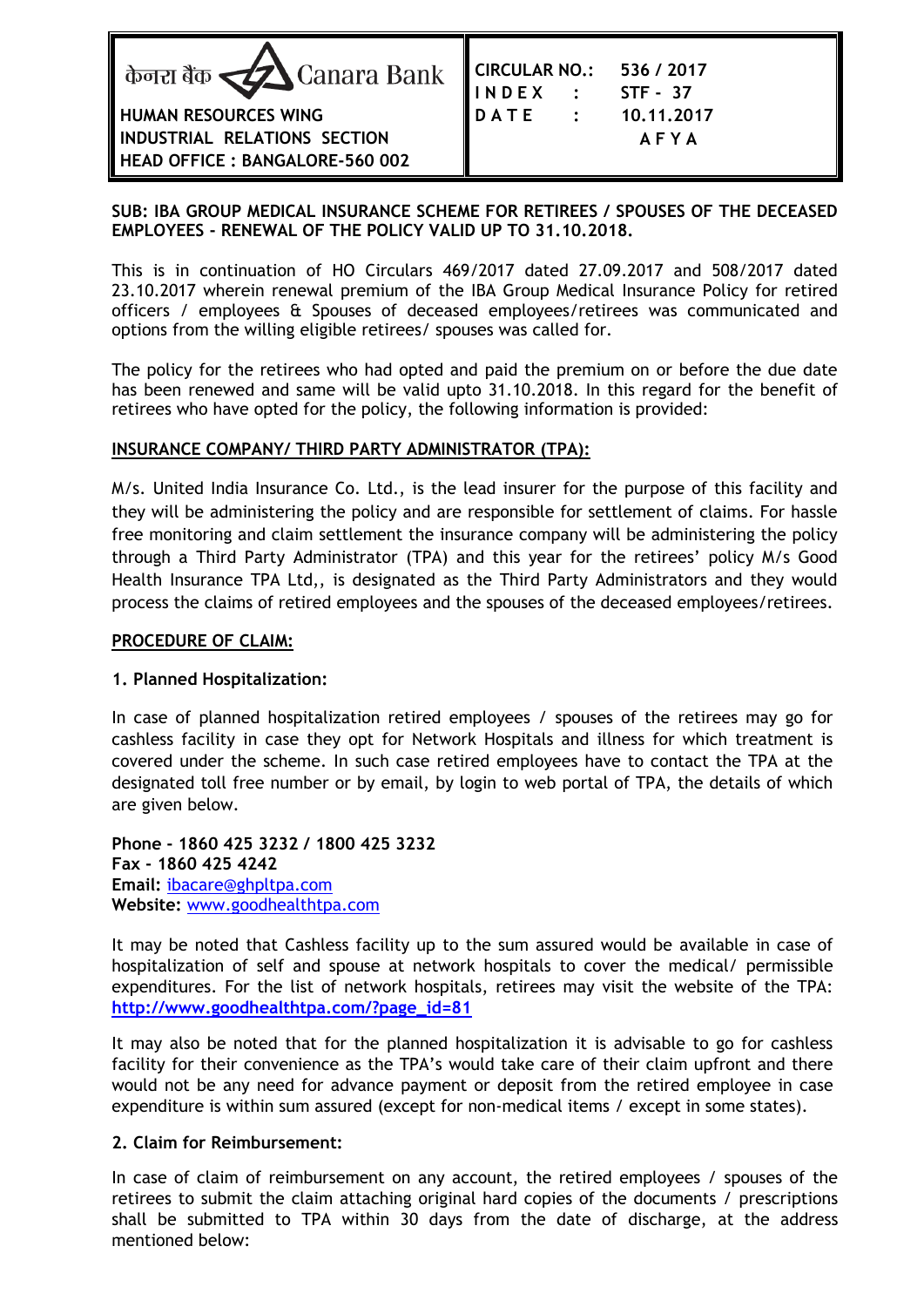

## **SUB: IBA GROUP MEDICAL INSURANCE SCHEME FOR RETIREES / SPOUSES OF THE DECEASED EMPLOYEES - RENEWAL OF THE POLICY VALID UP TO 31.10.2018.**

This is in continuation of HO Circulars 469/2017 dated 27.09.2017 and 508/2017 dated 23.10.2017 wherein renewal premium of the IBA Group Medical Insurance Policy for retired officers / employees & Spouses of deceased employees/retirees was communicated and options from the willing eligible retirees/ spouses was called for.

The policy for the retirees who had opted and paid the premium on or before the due date has been renewed and same will be valid upto 31.10.2018. In this regard for the benefit of retirees who have opted for the policy, the following information is provided:

## **INSURANCE COMPANY/ THIRD PARTY ADMINISTRATOR (TPA):**

M/s. United India Insurance Co. Ltd., is the lead insurer for the purpose of this facility and they will be administering the policy and are responsible for settlement of claims. For hassle free monitoring and claim settlement the insurance company will be administering the policy through a Third Party Administrator (TPA) and this year for the retirees' policy M/s Good Health Insurance TPA Ltd,, is designated as the Third Party Administrators and they would process the claims of retired employees and the spouses of the deceased employees/retirees.

#### **PROCEDURE OF CLAIM:**

#### **1. Planned Hospitalization:**

In case of planned hospitalization retired employees / spouses of the retirees may go for cashless facility in case they opt for Network Hospitals and illness for which treatment is covered under the scheme. In such case retired employees have to contact the TPA at the designated toll free number or by email, by login to web portal of TPA, the details of which are given below.

**Phone - 1860 425 3232 / 1800 425 3232 Fax - 1860 425 4242 Email:** [ibacare@ghpltpa.com](mailto:ibacare@ghpltpa.com) **Website:** [www.goodhealthtpa.com](http://www.goodhealthtpa.com/)

It may be noted that Cashless facility up to the sum assured would be available in case of hospitalization of self and spouse at network hospitals to cover the medical/ permissible expenditures. For the list of network hospitals, retirees may visit the website of the TPA: **[http://www.goodhealthtpa.com/?page\\_id=81](http://www.goodhealthtpa.com/?page_id=81)**

It may also be noted that for the planned hospitalization it is advisable to go for cashless facility for their convenience as the TPA's would take care of their claim upfront and there would not be any need for advance payment or deposit from the retired employee in case expenditure is within sum assured (except for non-medical items / except in some states).

## **2. Claim for Reimbursement:**

In case of claim of reimbursement on any account, the retired employees / spouses of the retirees to submit the claim attaching original hard copies of the documents / prescriptions shall be submitted to TPA within 30 days from the date of discharge, at the address mentioned below: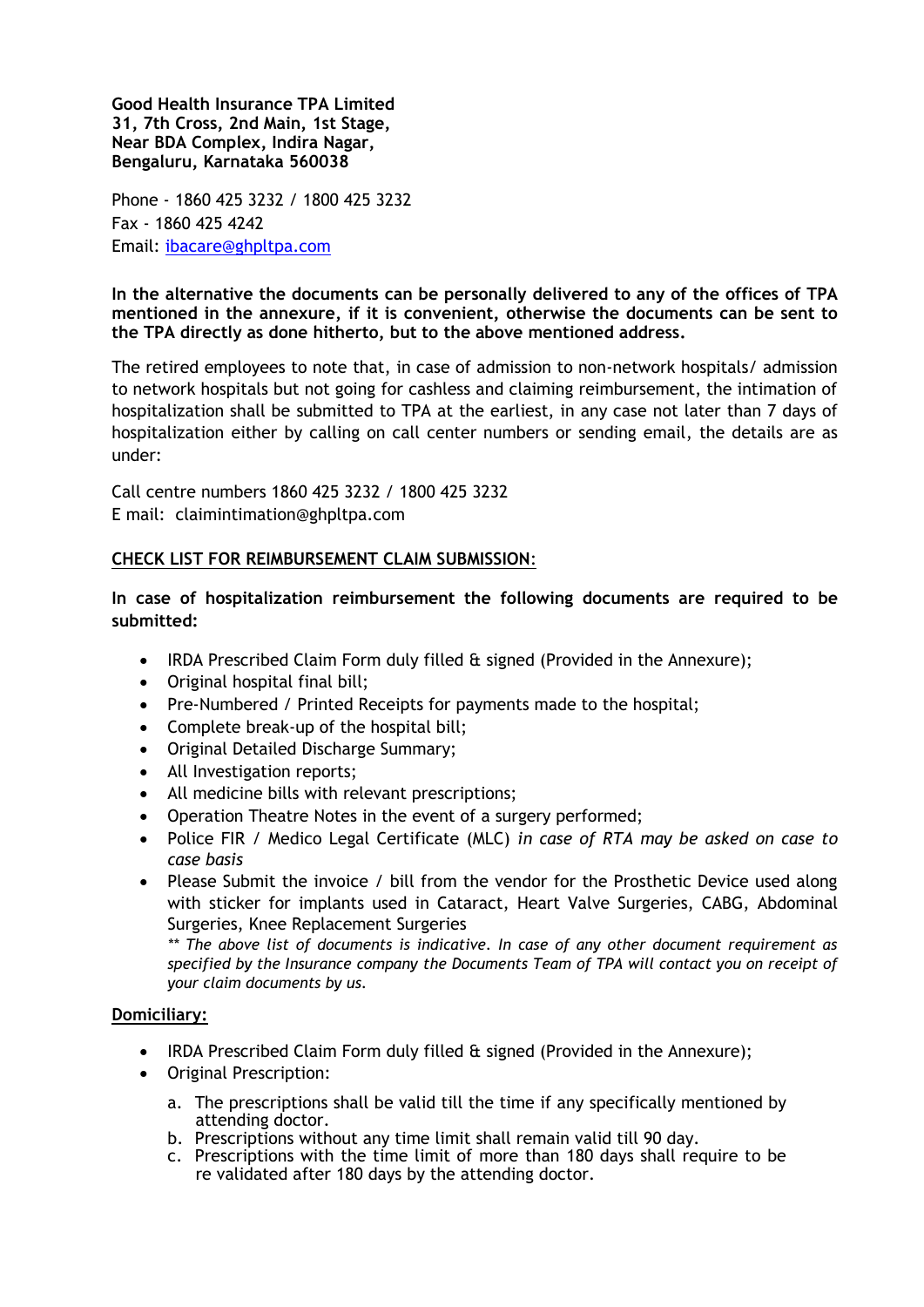**Good Health Insurance TPA Limited 31, 7th Cross, 2nd Main, 1st Stage, Near BDA Complex, Indira Nagar, Bengaluru, Karnataka 560038**

Phone - 1860 425 3232 / 1800 425 3232 Fax - 1860 425 4242 Email: [ibacare@ghpltpa.com](mailto:ibacare@ghpltpa.com)

**In the alternative the documents can be personally delivered to any of the offices of TPA mentioned in the annexure, if it is convenient, otherwise the documents can be sent to the TPA directly as done hitherto, but to the above mentioned address.**

The retired employees to note that, in case of admission to non-network hospitals/ admission to network hospitals but not going for cashless and claiming reimbursement, the intimation of hospitalization shall be submitted to TPA at the earliest, in any case not later than 7 days of hospitalization either by calling on call center numbers or sending email, the details are as under:

Call centre numbers 1860 425 3232 / 1800 425 3232 E mail: claimintimation@ghpltpa.com

#### **CHECK LIST FOR REIMBURSEMENT CLAIM SUBMISSION**:

**In case of hospitalization reimbursement the following documents are required to be submitted:**

- IRDA Prescribed Claim Form duly filled & signed (Provided in the Annexure);
- Original hospital final bill;
- Pre-Numbered / Printed Receipts for payments made to the hospital;
- Complete break-up of the hospital bill;
- Original Detailed Discharge Summary;
- All Investigation reports;
- All medicine bills with relevant prescriptions;
- Operation Theatre Notes in the event of a surgery performed;
- Police FIR / Medico Legal Certificate (MLC) *in case of RTA may be asked on case to case basis*
- Please Submit the invoice / bill from the vendor for the Prosthetic Device used along with sticker for implants used in Cataract, Heart Valve Surgeries, CABG, Abdominal Surgeries, Knee Replacement Surgeries

*\*\* The above list of documents is indicative. In case of any other document requirement as specified by the Insurance company the Documents Team of TPA will contact you on receipt of your claim documents by us.* 

#### **Domiciliary:**

- IRDA Prescribed Claim Form duly filled  $\hat{\mathbf{a}}$  signed (Provided in the Annexure);
- Original Prescription:
	- a. The prescriptions shall be valid till the time if any specifically mentioned by attending doctor.
	- b. Prescriptions without any time limit shall remain valid till 90 day.
	- c. Prescriptions with the time limit of more than 180 days shall require to be re validated after 180 days by the attending doctor.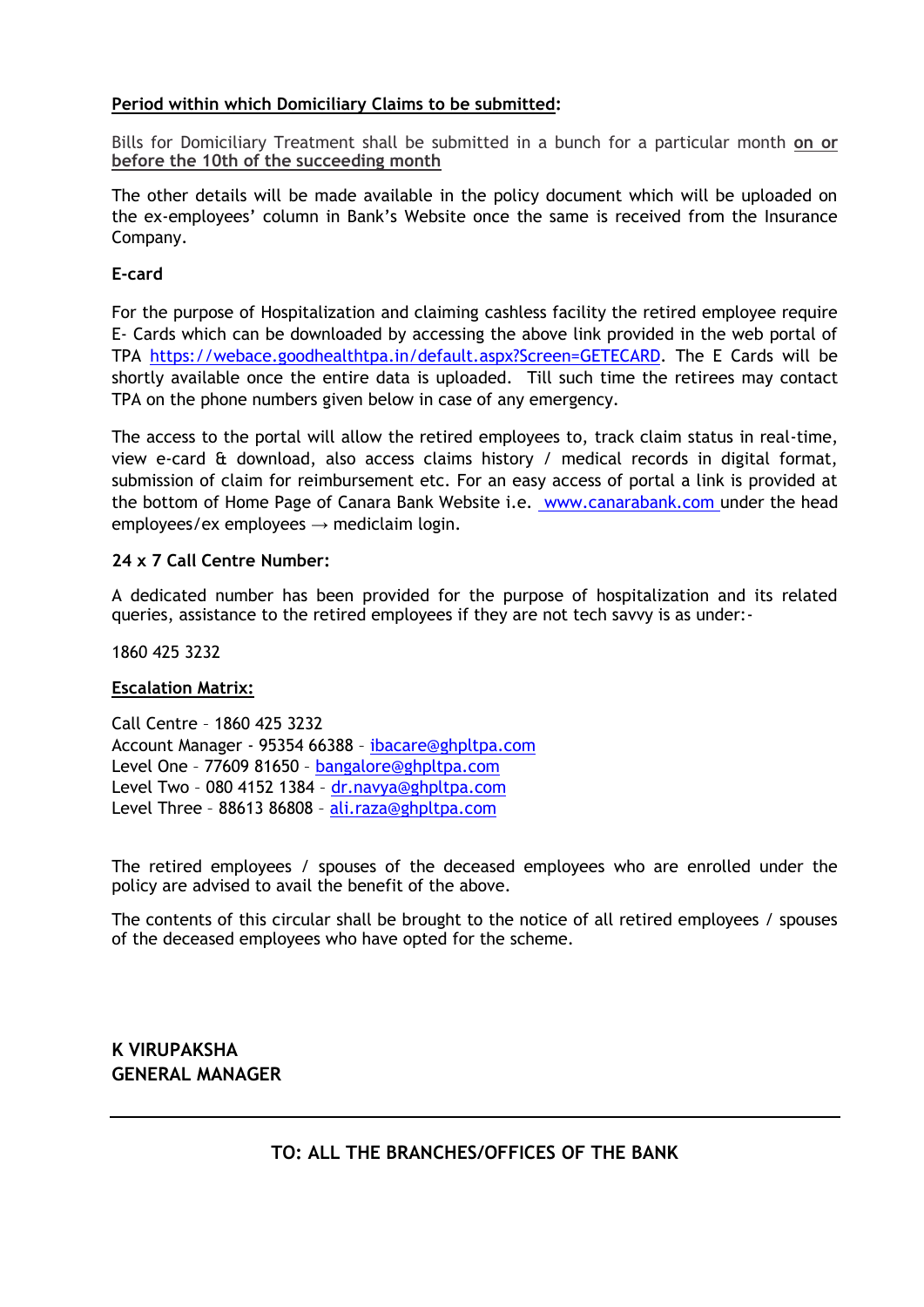# **Period within which Domiciliary Claims to be submitted:**

Bills for Domiciliary Treatment shall be submitted in a bunch for a particular month **on or before the 10th of the succeeding month**

The other details will be made available in the policy document which will be uploaded on the ex-employees' column in Bank's Website once the same is received from the Insurance Company.

## **E-card**

For the purpose of Hospitalization and claiming cashless facility the retired employee require E- Cards which can be downloaded by accessing the above link provided in the web portal of TPA [https://webace.goodhealthtpa.in/default.aspx?Screen=GETECARD.](https://webace.goodhealthtpa.in/default.aspx?Screen=GETECARD) The E Cards will be shortly available once the entire data is uploaded. Till such time the retirees may contact TPA on the phone numbers given below in case of any emergency.

The access to the portal will allow the retired employees to, track claim status in real-time, view e-card & download, also access claims history / medical records in digital format, submission of claim for reimbursement etc. For an easy access of portal a link is provided at the bottom of Home Page of Canara Bank Website i.e. [www.canarabank.com u](http://www.canarabank.com/)nder the head employees/ex employees  $\rightarrow$  mediclaim login.

#### **24 x 7 Call Centre Number:**

A dedicated number has been provided for the purpose of hospitalization and its related queries, assistance to the retired employees if they are not tech savvy is as under:-

1860 425 3232

#### **Escalation Matrix:**

Call Centre – 1860 425 3232 Account Manager - 95354 66388 – [ibacare@ghpltpa.com](mailto:ibacare@ghpltpa.com) Level One – 77609 81650 – [bangalore@ghpltpa.com](mailto:bangalore@ghpltpa.com) Level Two – 080 4152 1384 – [dr.navya@ghpltpa.com](mailto:dr.navya@ghpltpa.com) Level Three – 88613 86808 – [ali.raza@ghpltpa.com](mailto:ali.raza@ghpltpa.com)

The retired employees / spouses of the deceased employees who are enrolled under the policy are advised to avail the benefit of the above.

The contents of this circular shall be brought to the notice of all retired employees / spouses of the deceased employees who have opted for the scheme.

**K VIRUPAKSHA GENERAL MANAGER**